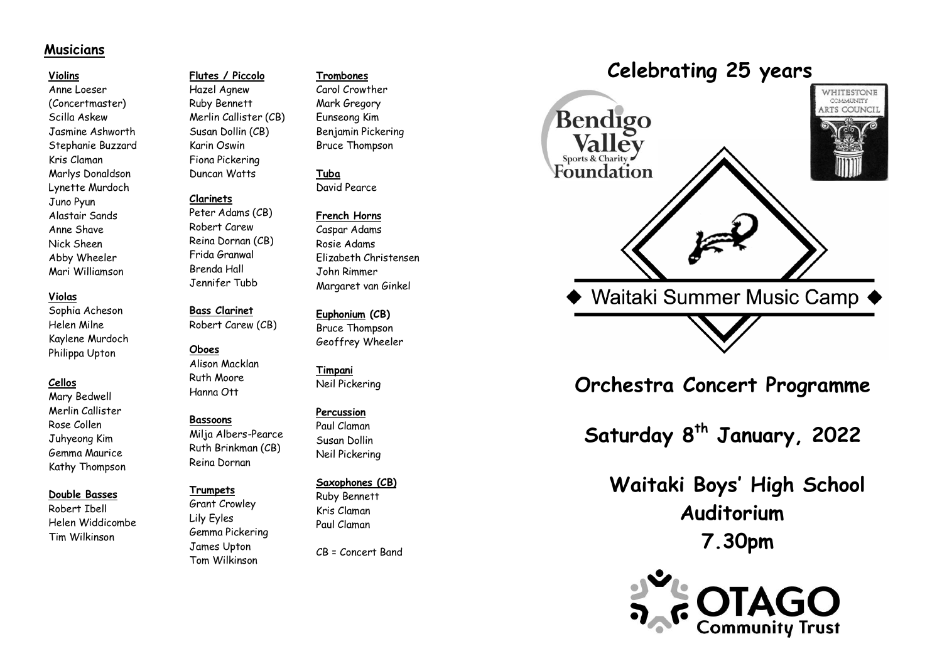# **Musicians**

#### **Violins**

Anne Loeser (Concertmaster) Scilla Askew Jasmine Ashworth Stephanie Buzzard Kris Claman Marlys Donaldson Lynette Murdoch Juno Pyun Alastair Sands Anne Shave Nick Sheen Abby Wheeler Mari Williamson

#### **Violas**

Sophia Acheson Helen Milne Kaylene Murdoch Philippa Upton

# **Cellos**

Mary Bedwell Merlin Callister Rose Collen Juhyeong Kim Gemma Maurice Kathy Thompson

#### **Double Basses**

Robert Ibell Helen Widdicombe Tim Wilkinson

# **Flutes / Piccolo**

Hazel Agnew Ruby Bennett Merlin Callister (CB) Susan Dollin (CB) Karin Oswin Fiona Pickering Duncan Watt s

# **Clarinets**

Peter Adams (CB) Robert Carew Reina Dornan (CB) Frida Granwal Brenda Hall Jennifer Tubb

# **Bass Clarinet**

Robert Carew (CB)

#### **Oboes**

Alison Macklan Ruth Moore Hanna Ott

## **Bassoons**

Milja Alber s -Pearce Ruth Brinkman (CB) Reina Dornan

#### **Trumpets**

Grant Crowley Lily Eyles Gemma Pickering James Upton Tom Wilkinson

#### **Trombones**

Carol Crowther Mark Gregory Eunseong Kim Benjamin Pickering Bruce Thompson

**Tuba** David Pearce

#### **French Horns**

Caspar Adams Rosie Adams Elizabeth Christensen John Rimmer Margaret van Ginkel

# **Euphonium (CB)** Bruce Thompson

Geoffrey Wheeler

**Timpani** Neil Pickering

## **Percussion**

Paul Claman Susan Dollin Neil Pickering

#### **Saxophone s (CB)**

Ruby Bennett Kris Claman Paul Claman

CB = Concert Band

# **Celebrating 25 years**



**Orchestra Concert Programme**

**Saturday 8 th January , 202 2**

**Waitaki Boys' High School Auditorium 7.30pm**